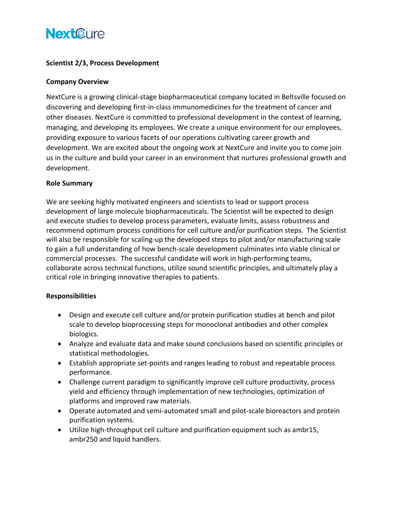# **NextCure**

### **Scientist 2/3, Process Development**

#### **Company Overview**

NextCure is a growing clinical-stage biopharmaceutical company located in Beltsville focused on discovering and developing first-in-class immunomedicines for the treatment of cancer and other diseases. NextCure is committed to professional development in the context of learning, managing, and developing its employees. We create a unique environment for our employees, providing exposure to various facets of our operations cultivating career growth and development. We are excited about the ongoing work at NextCure and invite you to come join us in the culture and build your career in an environment that nurtures professional growth and development.

#### **Role Summary**

We are seeking highly motivated engineers and scientists to lead or support process development of large molecule biopharmaceuticals. The Scientist will be expected to design and execute studies to develop process parameters, evaluate limits, assess robustness and recommend optimum process conditions for cell culture and/or purification steps. The Scientist will also be responsible for scaling-up the developed steps to pilot and/or manufacturing scale to gain a full understanding of how bench-scale development culminates into viable clinical or commercial processes. The successful candidate will work in high-performing teams, collaborate across technical functions, utilize sound scientific principles, and ultimately play a critical role in bringing innovative therapies to patients.

## **Responsibilities**

- Design and execute cell culture and/or protein purification studies at bench and pilot scale to develop bioprocessing steps for monoclonal antibodies and other complex biologics.
- Analyze and evaluate data and make sound conclusions based on scientific principles or statistical methodologies.
- Establish appropriate set-points and ranges leading to robust and repeatable process performance.
- Challenge current paradigm to significantly improve cell culture productivity, process yield and efficiency through implementation of new technologies, optimization of platforms and improved raw materials.
- Operate automated and semi-automated small and pilot-scale bioreactors and protein purification systems.
- Utilize high-throughput cell culture and purification equipment such as ambr15, ambr250 and liquid handlers.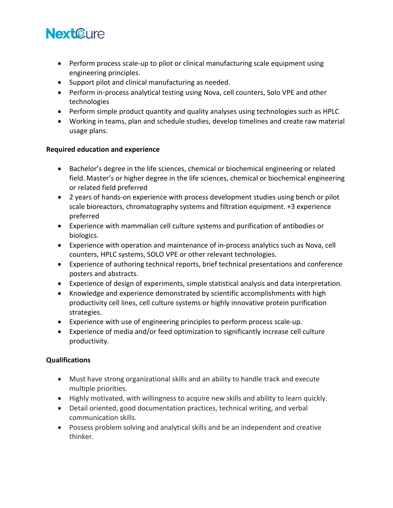# **NextCure**

- Perform process scale-up to pilot or clinical manufacturing scale equipment using engineering principles.
- Support pilot and clinical manufacturing as needed.
- Perform in-process analytical testing using Nova, cell counters, Solo VPE and other technologies
- Perform simple product quantity and quality analyses using technologies such as HPLC
- Working in teams, plan and schedule studies, develop timelines and create raw material usage plans.

### **Required education and experience**

- Bachelor's degree in the life sciences, chemical or biochemical engineering or related field. Master's or higher degree in the life sciences, chemical or biochemical engineering or related field preferred
- 2 years of hands-on experience with process development studies using bench or pilot scale bioreactors, chromatography systems and filtration equipment. +3 experience preferred
- Experience with mammalian cell culture systems and purification of antibodies or biologics.
- Experience with operation and maintenance of in-process analytics such as Nova, cell counters, HPLC systems, SOLO VPE or other relevant technologies.
- Experience of authoring technical reports, brief technical presentations and conference posters and abstracts.
- Experience of design of experiments, simple statistical analysis and data interpretation.
- Knowledge and experience demonstrated by scientific accomplishments with high productivity cell lines, cell culture systems or highly innovative protein purification strategies.
- Experience with use of engineering principles to perform process scale-up.
- Experience of media and/or feed optimization to significantly increase cell culture productivity.

## **Qualifications**

- Must have strong organizational skills and an ability to handle track and execute multiple priorities.
- Highly motivated, with willingness to acquire new skills and ability to learn quickly.
- Detail oriented, good documentation practices, technical writing, and verbal communication skills.
- Possess problem solving and analytical skills and be an independent and creative thinker.